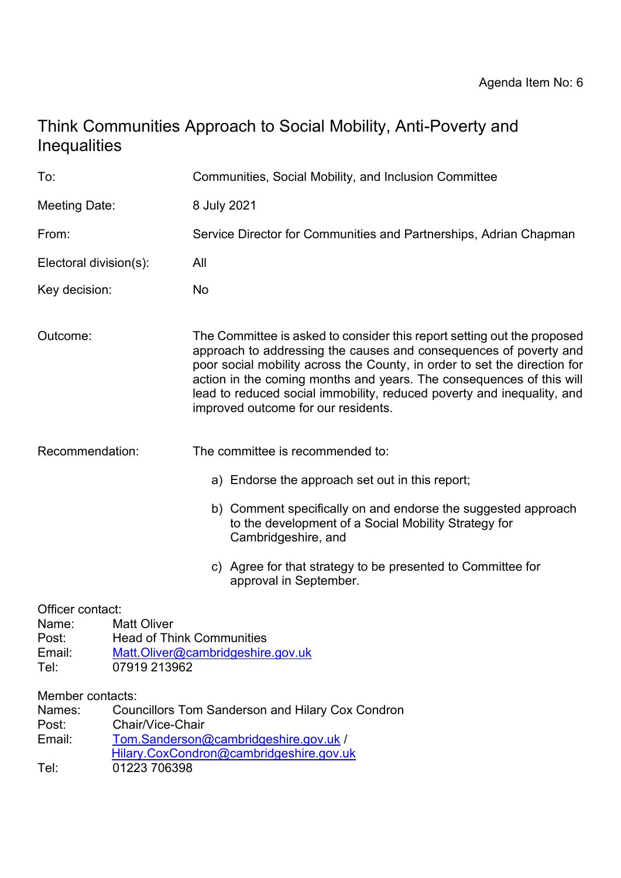# Think Communities Approach to Social Mobility, Anti-Poverty and Inequalities

| 8 July 2021<br>Service Director for Communities and Partnerships, Adrian Chapman                                                                                                                                                                                                                                                                                                                                   |  |  |
|--------------------------------------------------------------------------------------------------------------------------------------------------------------------------------------------------------------------------------------------------------------------------------------------------------------------------------------------------------------------------------------------------------------------|--|--|
|                                                                                                                                                                                                                                                                                                                                                                                                                    |  |  |
|                                                                                                                                                                                                                                                                                                                                                                                                                    |  |  |
|                                                                                                                                                                                                                                                                                                                                                                                                                    |  |  |
| No                                                                                                                                                                                                                                                                                                                                                                                                                 |  |  |
| The Committee is asked to consider this report setting out the proposed<br>approach to addressing the causes and consequences of poverty and<br>poor social mobility across the County, in order to set the direction for<br>action in the coming months and years. The consequences of this will<br>lead to reduced social immobility, reduced poverty and inequality, and<br>improved outcome for our residents. |  |  |
| The committee is recommended to:                                                                                                                                                                                                                                                                                                                                                                                   |  |  |
| a) Endorse the approach set out in this report;                                                                                                                                                                                                                                                                                                                                                                    |  |  |
| b) Comment specifically on and endorse the suggested approach<br>to the development of a Social Mobility Strategy for<br>Cambridgeshire, and                                                                                                                                                                                                                                                                       |  |  |
| c) Agree for that strategy to be presented to Committee for<br>approval in September.                                                                                                                                                                                                                                                                                                                              |  |  |
| <b>Head of Think Communities</b><br>Matt.Oliver@cambridgeshire.gov.uk<br><b>Councillors Tom Sanderson and Hilary Cox Condron</b><br>Tom.Sanderson@cambridgeshire.gov.uk /<br>Hilary.CoxCondron@cambridgeshire.gov.uk                                                                                                                                                                                               |  |  |
|                                                                                                                                                                                                                                                                                                                                                                                                                    |  |  |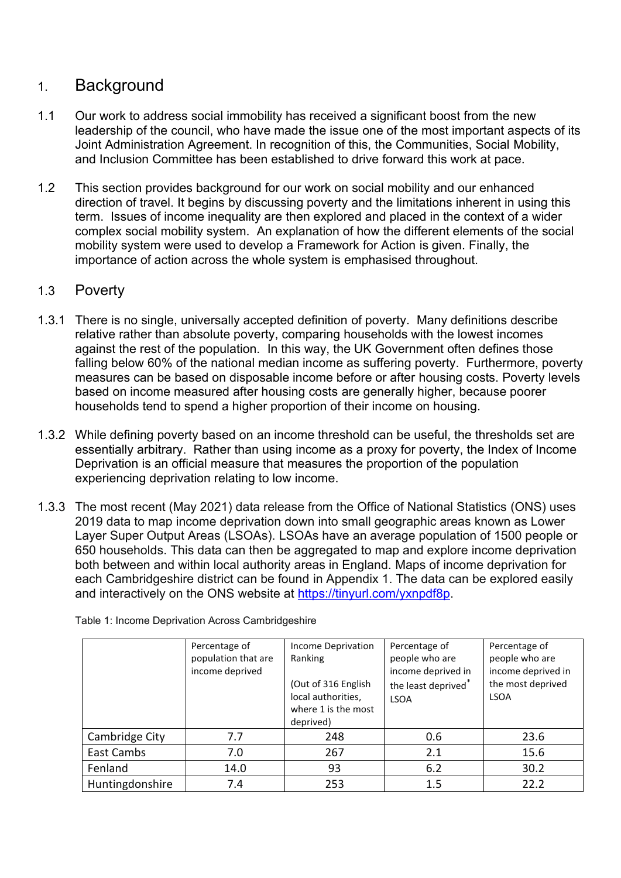# 1. Background

- 1.1 Our work to address social immobility has received a significant boost from the new leadership of the council, who have made the issue one of the most important aspects of its Joint Administration Agreement. In recognition of this, the Communities, Social Mobility, and Inclusion Committee has been established to drive forward this work at pace.
- 1.2 This section provides background for our work on social mobility and our enhanced direction of travel. It begins by discussing poverty and the limitations inherent in using this term. Issues of income inequality are then explored and placed in the context of a wider complex social mobility system. An explanation of how the different elements of the social mobility system were used to develop a Framework for Action is given. Finally, the importance of action across the whole system is emphasised throughout.

#### 1.3 Poverty

- 1.3.1 There is no single, universally accepted definition of poverty. Many definitions describe relative rather than absolute poverty, comparing households with the lowest incomes against the rest of the population. In this way, the UK Government often defines those falling below 60% of the national median income as suffering poverty. Furthermore, poverty measures can be based on disposable income before or after housing costs. Poverty levels based on income measured after housing costs are generally higher, because poorer households tend to spend a higher proportion of their income on housing.
- 1.3.2 While defining poverty based on an income threshold can be useful, the thresholds set are essentially arbitrary. Rather than using income as a proxy for poverty, the Index of Income Deprivation is an official measure that measures the proportion of the population experiencing deprivation relating to low income.
- 1.3.3 The most recent (May 2021) data release from the Office of National Statistics (ONS) uses 2019 data to map income deprivation down into small geographic areas known as Lower Layer Super Output Areas (LSOAs). LSOAs have an average population of 1500 people or 650 households. This data can then be aggregated to map and explore income deprivation both between and within local authority areas in England. Maps of income deprivation for each Cambridgeshire district can be found in Appendix 1. The data can be explored easily and interactively on the ONS website at [https://tinyurl.com/yxnpdf8p.](https://tinyurl.com/yxnpdf8p)

|                 | Percentage of<br>population that are<br>income deprived | Income Deprivation<br>Ranking<br>(Out of 316 English<br>local authorities,<br>where 1 is the most<br>deprived) | Percentage of<br>people who are<br>income deprived in<br>the least deprived*<br><b>LSOA</b> | Percentage of<br>people who are<br>income deprived in<br>the most deprived<br><b>LSOA</b> |
|-----------------|---------------------------------------------------------|----------------------------------------------------------------------------------------------------------------|---------------------------------------------------------------------------------------------|-------------------------------------------------------------------------------------------|
| Cambridge City  | 7.7                                                     | 248                                                                                                            | 0.6                                                                                         | 23.6                                                                                      |
| East Cambs      | 7.0                                                     | 267                                                                                                            | 2.1                                                                                         | 15.6                                                                                      |
| Fenland         | 14.0                                                    | 93                                                                                                             | 6.2                                                                                         | 30.2                                                                                      |
| Huntingdonshire | 7.4                                                     | 253                                                                                                            | 1.5                                                                                         | 22.2                                                                                      |

Table 1: Income Deprivation Across Cambridgeshire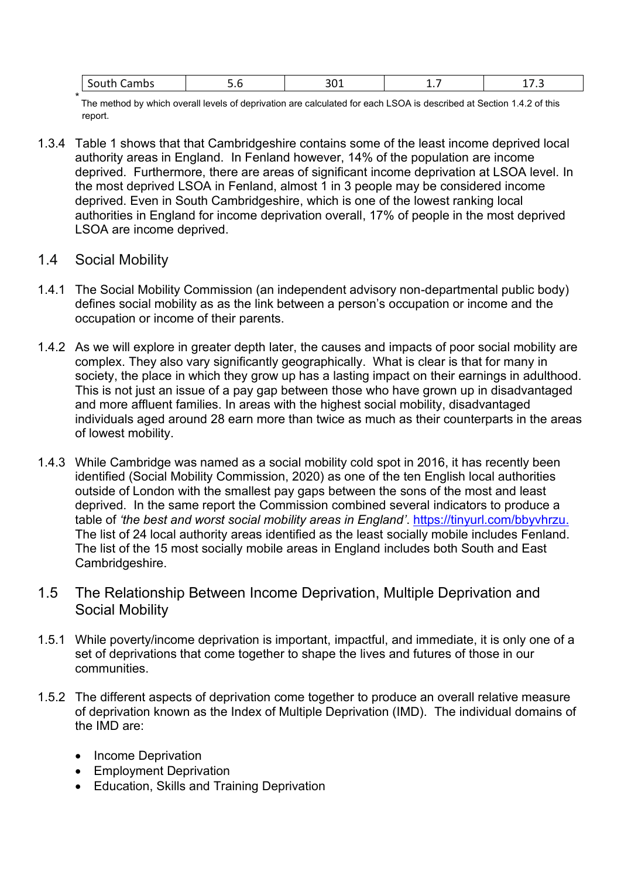| ----<br>-----<br>nds<br>эı<br>' الہ . | . .<br>. . | $\sim$<br>-- | -- | $\overline{\phantom{0}}$<br>--- |
|---------------------------------------|------------|--------------|----|---------------------------------|
|                                       |            |              |    |                                 |

\* The method by which overall levels of deprivation are calculated for each LSOA is described at Section 1.4.2 of this report.

- 1.3.4 Table 1 shows that that Cambridgeshire contains some of the least income deprived local authority areas in England. In Fenland however, 14% of the population are income deprived. Furthermore, there are areas of significant income deprivation at LSOA level. In the most deprived LSOA in Fenland, almost 1 in 3 people may be considered income deprived. Even in South Cambridgeshire, which is one of the lowest ranking local authorities in England for income deprivation overall, 17% of people in the most deprived LSOA are income deprived.
- 1.4 Social Mobility
- 1.4.1 The Social Mobility Commission (an independent advisory non-departmental public body) defines social mobility as as the link between a person's occupation or income and the occupation or income of their parents.
- 1.4.2 As we will explore in greater depth later, the causes and impacts of poor social mobility are complex. They also vary significantly geographically. What is clear is that for many in society, the place in which they grow up has a lasting impact on their earnings in adulthood. This is not just an issue of a pay gap between those who have grown up in disadvantaged and more affluent families. In areas with the highest social mobility, disadvantaged individuals aged around 28 earn more than twice as much as their counterparts in the areas of lowest mobility.
- 1.4.3 While Cambridge was named as a social mobility cold spot in 2016, it has recently been identified (Social Mobility Commission, 2020) as one of the ten English local authorities outside of London with the smallest pay gaps between the sons of the most and least deprived. In the same report the Commission combined several indicators to produce a table of *'the best and worst social mobility areas in England'*. [https://tinyurl.com/bbyvhrzu.](https://tinyurl.com/bbyvhrzu) The list of 24 local authority areas identified as the least socially mobile includes Fenland. The list of the 15 most socially mobile areas in England includes both South and East Cambridgeshire.
- 1.5 The Relationship Between Income Deprivation, Multiple Deprivation and Social Mobility
- 1.5.1 While poverty/income deprivation is important, impactful, and immediate, it is only one of a set of deprivations that come together to shape the lives and futures of those in our communities.
- 1.5.2 The different aspects of deprivation come together to produce an overall relative measure of deprivation known as the Index of Multiple Deprivation (IMD). The individual domains of the IMD are:
	- Income Deprivation
	- Employment Deprivation
	- Education, Skills and Training Deprivation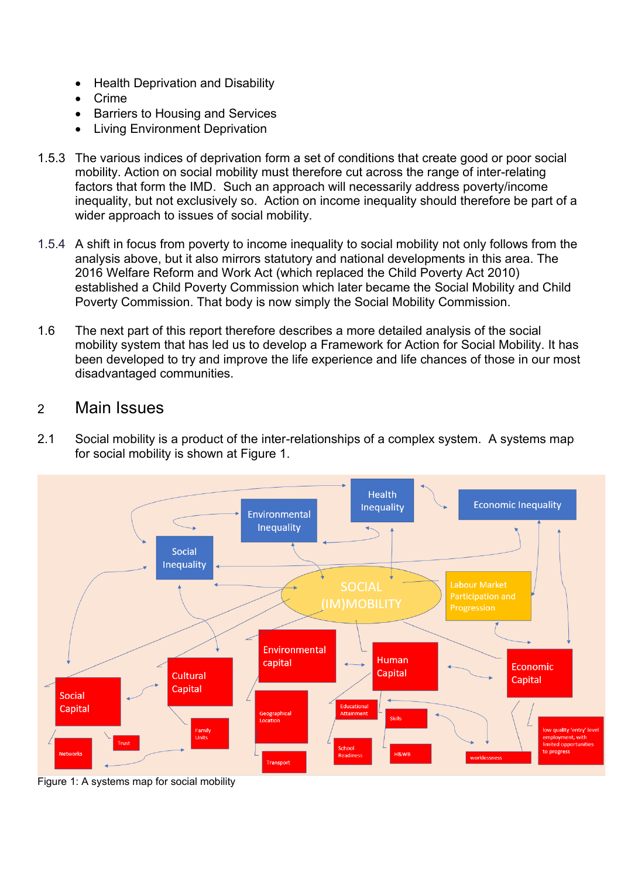- Health Deprivation and Disability
- Crime
- Barriers to Housing and Services
- Living Environment Deprivation
- 1.5.3 The various indices of deprivation form a set of conditions that create good or poor social mobility. Action on social mobility must therefore cut across the range of inter-relating factors that form the IMD. Such an approach will necessarily address poverty/income inequality, but not exclusively so. Action on income inequality should therefore be part of a wider approach to issues of social mobility.
- 1.5.4 A shift in focus from poverty to income inequality to social mobility not only follows from the analysis above, but it also mirrors statutory and national developments in this area. The 2016 Welfare Reform and Work Act (which replaced the Child Poverty Act 2010) established a Child Poverty Commission which later became the Social Mobility and Child Poverty Commission. That body is now simply the Social Mobility Commission.
- 1.6 The next part of this report therefore describes a more detailed analysis of the social mobility system that has led us to develop a Framework for Action for Social Mobility. It has been developed to try and improve the life experience and life chances of those in our most disadvantaged communities.

### 2 Main Issues

2.1 Social mobility is a product of the inter-relationships of a complex system. A systems map for social mobility is shown at Figure 1.



Figure 1: A systems map for social mobility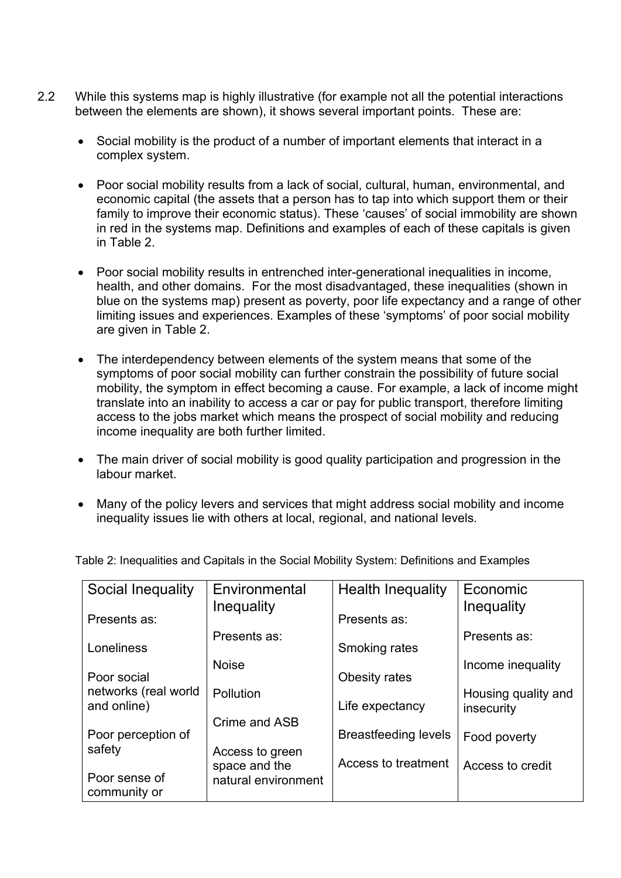- 2.2 While this systems map is highly illustrative (for example not all the potential interactions between the elements are shown), it shows several important points. These are:
	- Social mobility is the product of a number of important elements that interact in a complex system.
	- Poor social mobility results from a lack of social, cultural, human, environmental, and economic capital (the assets that a person has to tap into which support them or their family to improve their economic status). These 'causes' of social immobility are shown in red in the systems map. Definitions and examples of each of these capitals is given in Table 2.
	- Poor social mobility results in entrenched inter-generational inequalities in income, health, and other domains. For the most disadvantaged, these inequalities (shown in blue on the systems map) present as poverty, poor life expectancy and a range of other limiting issues and experiences. Examples of these 'symptoms' of poor social mobility are given in Table 2.
	- The interdependency between elements of the system means that some of the symptoms of poor social mobility can further constrain the possibility of future social mobility, the symptom in effect becoming a cause. For example, a lack of income might translate into an inability to access a car or pay for public transport, therefore limiting access to the jobs market which means the prospect of social mobility and reducing income inequality are both further limited.
	- The main driver of social mobility is good quality participation and progression in the labour market.
	- Many of the policy levers and services that might address social mobility and income inequality issues lie with others at local, regional, and national levels.

| Social Inequality    | Environmental       | Health Inequality           | Economic            |
|----------------------|---------------------|-----------------------------|---------------------|
|                      | Inequality          |                             | Inequality          |
| Presents as:         |                     | Presents as:                |                     |
|                      | Presents as:        |                             | Presents as:        |
| Loneliness           |                     | Smoking rates               |                     |
|                      | <b>Noise</b>        |                             | Income inequality   |
| Poor social          |                     | Obesity rates               |                     |
| networks (real world | Pollution           |                             | Housing quality and |
| and online)          |                     | Life expectancy             | insecurity          |
|                      | Crime and ASB       |                             |                     |
| Poor perception of   |                     | <b>Breastfeeding levels</b> | Food poverty        |
| safety               | Access to green     |                             |                     |
|                      | space and the       | Access to treatment         | Access to credit    |
| Poor sense of        | natural environment |                             |                     |
| community or         |                     |                             |                     |

Table 2: Inequalities and Capitals in the Social Mobility System: Definitions and Examples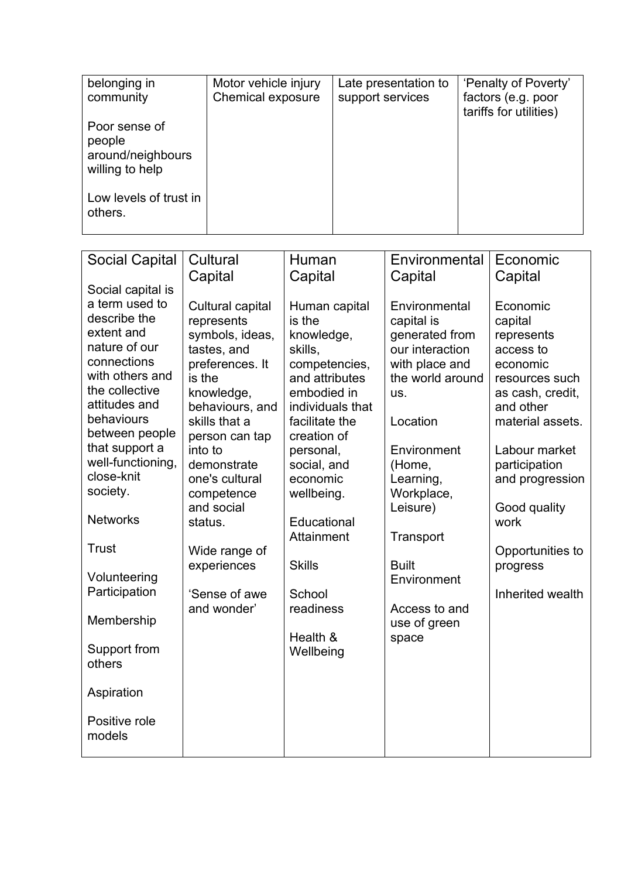| belonging in<br>community                                       | Motor vehicle injury<br>Chemical exposure | Late presentation to<br>support services | 'Penalty of Poverty'<br>factors (e.g. poor<br>tariffs for utilities) |
|-----------------------------------------------------------------|-------------------------------------------|------------------------------------------|----------------------------------------------------------------------|
| Poor sense of<br>people<br>around/neighbours<br>willing to help |                                           |                                          |                                                                      |
| Low levels of trust in<br>others.                               |                                           |                                          |                                                                      |

| <b>Social Capital</b>                                                                                                                                                 | Cultural                                                                                                                       | Human                                                                                                                  | Environmental                                                                                                 | Economic                                                                                                      |
|-----------------------------------------------------------------------------------------------------------------------------------------------------------------------|--------------------------------------------------------------------------------------------------------------------------------|------------------------------------------------------------------------------------------------------------------------|---------------------------------------------------------------------------------------------------------------|---------------------------------------------------------------------------------------------------------------|
|                                                                                                                                                                       | Capital                                                                                                                        | Capital                                                                                                                | Capital                                                                                                       | Capital                                                                                                       |
| Social capital is<br>a term used to<br>describe the<br>extent and<br>nature of our<br>connections<br>with others and<br>the collective<br>attitudes and<br>behaviours | Cultural capital<br>represents<br>symbols, ideas,<br>tastes, and<br>preferences. It<br>is the<br>knowledge,<br>behaviours, and | Human capital<br>is the<br>knowledge,<br>skills,<br>competencies,<br>and attributes<br>embodied in<br>individuals that | Environmental<br>capital is<br>generated from<br>our interaction<br>with place and<br>the world around<br>us. | Economic<br>capital<br>represents<br>access to<br>economic<br>resources such<br>as cash, credit,<br>and other |
| between people                                                                                                                                                        | skills that a<br>person can tap                                                                                                | facilitate the<br>creation of                                                                                          | Location                                                                                                      | material assets.                                                                                              |
| that support a<br>well-functioning,<br>close-knit<br>society.                                                                                                         | into to<br>demonstrate<br>one's cultural<br>competence<br>and social                                                           | personal,<br>social, and<br>economic<br>wellbeing.                                                                     | Environment<br>(Home,<br>Learning,<br>Workplace,<br>Leisure)                                                  | Labour market<br>participation<br>and progression                                                             |
| <b>Networks</b>                                                                                                                                                       | status.                                                                                                                        | Educational<br><b>Attainment</b>                                                                                       | Transport                                                                                                     | Good quality<br>work                                                                                          |
| <b>Trust</b>                                                                                                                                                          | Wide range of<br>experiences                                                                                                   | <b>Skills</b>                                                                                                          | <b>Built</b>                                                                                                  | Opportunities to<br>progress                                                                                  |
| Volunteering                                                                                                                                                          |                                                                                                                                |                                                                                                                        | Environment                                                                                                   |                                                                                                               |
| Participation                                                                                                                                                         | 'Sense of awe<br>and wonder'                                                                                                   | School<br>readiness                                                                                                    | Access to and                                                                                                 | Inherited wealth                                                                                              |
| Membership                                                                                                                                                            |                                                                                                                                |                                                                                                                        | use of green                                                                                                  |                                                                                                               |
| Support from<br>others                                                                                                                                                |                                                                                                                                | Health &<br>Wellbeing                                                                                                  | space                                                                                                         |                                                                                                               |
| Aspiration                                                                                                                                                            |                                                                                                                                |                                                                                                                        |                                                                                                               |                                                                                                               |
| Positive role<br>models                                                                                                                                               |                                                                                                                                |                                                                                                                        |                                                                                                               |                                                                                                               |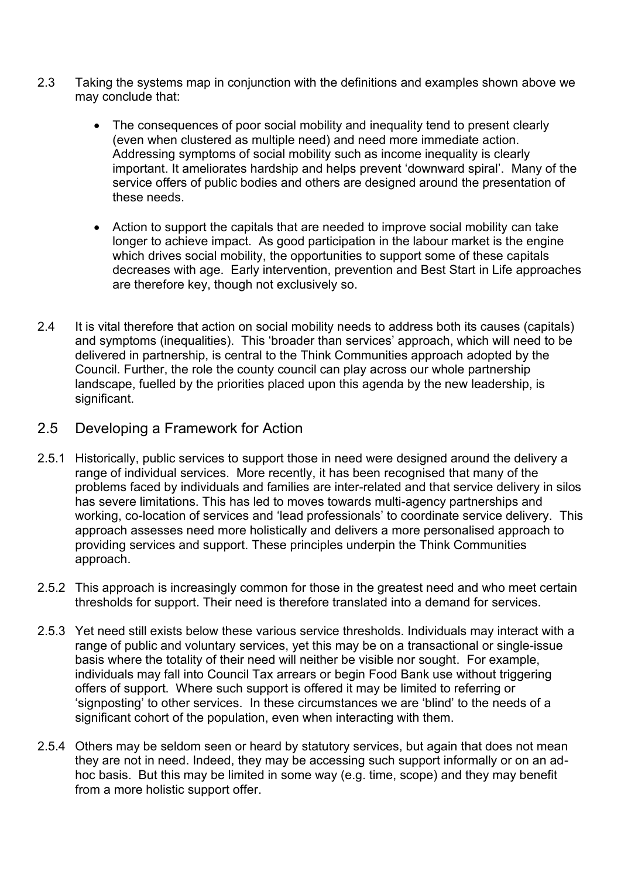- 2.3 Taking the systems map in conjunction with the definitions and examples shown above we may conclude that:
	- The consequences of poor social mobility and inequality tend to present clearly (even when clustered as multiple need) and need more immediate action. Addressing symptoms of social mobility such as income inequality is clearly important. It ameliorates hardship and helps prevent 'downward spiral'. Many of the service offers of public bodies and others are designed around the presentation of these needs.
	- Action to support the capitals that are needed to improve social mobility can take longer to achieve impact. As good participation in the labour market is the engine which drives social mobility, the opportunities to support some of these capitals decreases with age. Early intervention, prevention and Best Start in Life approaches are therefore key, though not exclusively so.
- 2.4 It is vital therefore that action on social mobility needs to address both its causes (capitals) and symptoms (inequalities). This 'broader than services' approach, which will need to be delivered in partnership, is central to the Think Communities approach adopted by the Council. Further, the role the county council can play across our whole partnership landscape, fuelled by the priorities placed upon this agenda by the new leadership, is significant.
- 2.5 Developing a Framework for Action
- 2.5.1 Historically, public services to support those in need were designed around the delivery a range of individual services. More recently, it has been recognised that many of the problems faced by individuals and families are inter-related and that service delivery in silos has severe limitations. This has led to moves towards multi-agency partnerships and working, co-location of services and 'lead professionals' to coordinate service delivery. This approach assesses need more holistically and delivers a more personalised approach to providing services and support. These principles underpin the Think Communities approach.
- 2.5.2 This approach is increasingly common for those in the greatest need and who meet certain thresholds for support. Their need is therefore translated into a demand for services.
- 2.5.3 Yet need still exists below these various service thresholds. Individuals may interact with a range of public and voluntary services, yet this may be on a transactional or single-issue basis where the totality of their need will neither be visible nor sought. For example, individuals may fall into Council Tax arrears or begin Food Bank use without triggering offers of support. Where such support is offered it may be limited to referring or 'signposting' to other services. In these circumstances we are 'blind' to the needs of a significant cohort of the population, even when interacting with them.
- 2.5.4 Others may be seldom seen or heard by statutory services, but again that does not mean they are not in need. Indeed, they may be accessing such support informally or on an adhoc basis. But this may be limited in some way (e.g. time, scope) and they may benefit from a more holistic support offer.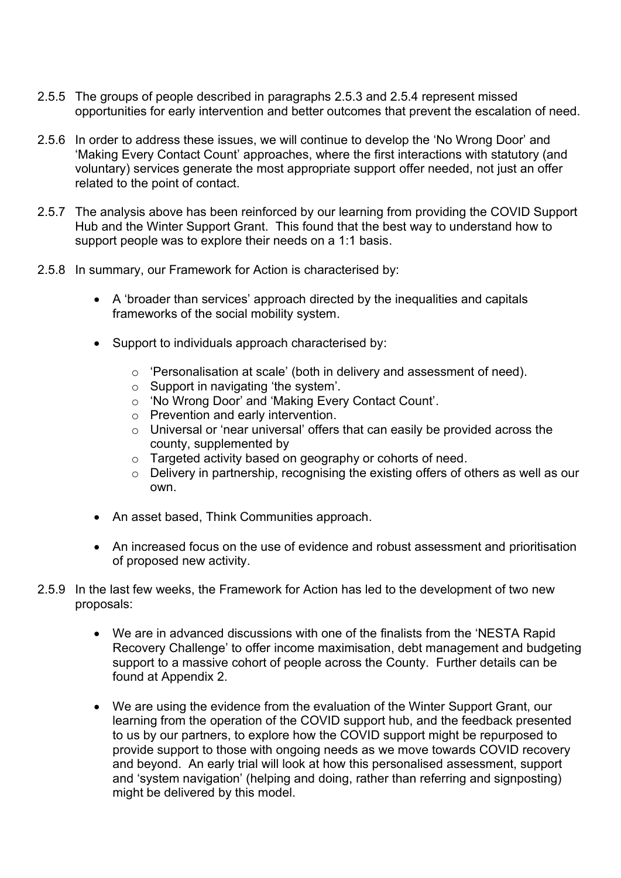- 2.5.5 The groups of people described in paragraphs 2.5.3 and 2.5.4 represent missed opportunities for early intervention and better outcomes that prevent the escalation of need.
- 2.5.6 In order to address these issues, we will continue to develop the 'No Wrong Door' and 'Making Every Contact Count' approaches, where the first interactions with statutory (and voluntary) services generate the most appropriate support offer needed, not just an offer related to the point of contact.
- 2.5.7 The analysis above has been reinforced by our learning from providing the COVID Support Hub and the Winter Support Grant. This found that the best way to understand how to support people was to explore their needs on a 1:1 basis.
- 2.5.8 In summary, our Framework for Action is characterised by:
	- A 'broader than services' approach directed by the inequalities and capitals frameworks of the social mobility system.
	- Support to individuals approach characterised by:
		- o 'Personalisation at scale' (both in delivery and assessment of need).
		- o Support in navigating 'the system'.
		- o 'No Wrong Door' and 'Making Every Contact Count'.
		- o Prevention and early intervention.
		- o Universal or 'near universal' offers that can easily be provided across the county, supplemented by
		- o Targeted activity based on geography or cohorts of need.
		- o Delivery in partnership, recognising the existing offers of others as well as our own.
	- An asset based, Think Communities approach.
	- An increased focus on the use of evidence and robust assessment and prioritisation of proposed new activity.
- 2.5.9 In the last few weeks, the Framework for Action has led to the development of two new proposals:
	- We are in advanced discussions with one of the finalists from the 'NESTA Rapid Recovery Challenge' to offer income maximisation, debt management and budgeting support to a massive cohort of people across the County. Further details can be found at Appendix 2.
	- We are using the evidence from the evaluation of the Winter Support Grant, our learning from the operation of the COVID support hub, and the feedback presented to us by our partners, to explore how the COVID support might be repurposed to provide support to those with ongoing needs as we move towards COVID recovery and beyond. An early trial will look at how this personalised assessment, support and 'system navigation' (helping and doing, rather than referring and signposting) might be delivered by this model.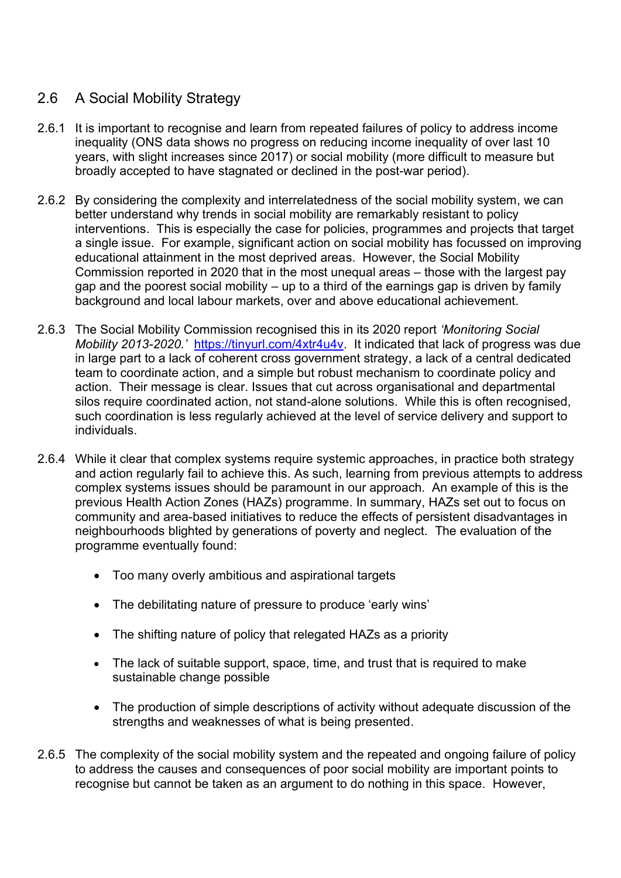## 2.6 A Social Mobility Strategy

- 2.6.1 It is important to recognise and learn from repeated failures of policy to address income inequality (ONS data shows no progress on reducing income inequality of over last 10 years, with slight increases since 2017) or social mobility (more difficult to measure but broadly accepted to have stagnated or declined in the post-war period).
- 2.6.2 By considering the complexity and interrelatedness of the social mobility system, we can better understand why trends in social mobility are remarkably resistant to policy interventions. This is especially the case for policies, programmes and projects that target a single issue. For example, significant action on social mobility has focussed on improving educational attainment in the most deprived areas. However, the Social Mobility Commission reported in 2020 that in the most unequal areas – those with the largest pay gap and the poorest social mobility  $-$  up to a third of the earnings gap is driven by family background and local labour markets, over and above educational achievement.
- 2.6.3 The Social Mobility Commission recognised this in its 2020 report *'Monitoring Social Mobility 2013-2020.'* [https://tinyurl.com/4xtr4u4v.](https://tinyurl.com/4xtr4u4v) It indicated that lack of progress was due in large part to a lack of coherent cross government strategy, a lack of a central dedicated team to coordinate action, and a simple but robust mechanism to coordinate policy and action. Their message is clear. Issues that cut across organisational and departmental silos require coordinated action, not stand-alone solutions. While this is often recognised, such coordination is less regularly achieved at the level of service delivery and support to individuals.
- 2.6.4 While it clear that complex systems require systemic approaches, in practice both strategy and action regularly fail to achieve this. As such, learning from previous attempts to address complex systems issues should be paramount in our approach. An example of this is the previous Health Action Zones (HAZs) programme. In summary, HAZs set out to focus on community and area-based initiatives to reduce the effects of persistent disadvantages in neighbourhoods blighted by generations of poverty and neglect. The evaluation of the programme eventually found:
	- Too many overly ambitious and aspirational targets
	- The debilitating nature of pressure to produce 'early wins'
	- The shifting nature of policy that relegated HAZs as a priority
	- The lack of suitable support, space, time, and trust that is required to make sustainable change possible
	- The production of simple descriptions of activity without adequate discussion of the strengths and weaknesses of what is being presented.
- 2.6.5 The complexity of the social mobility system and the repeated and ongoing failure of policy to address the causes and consequences of poor social mobility are important points to recognise but cannot be taken as an argument to do nothing in this space. However,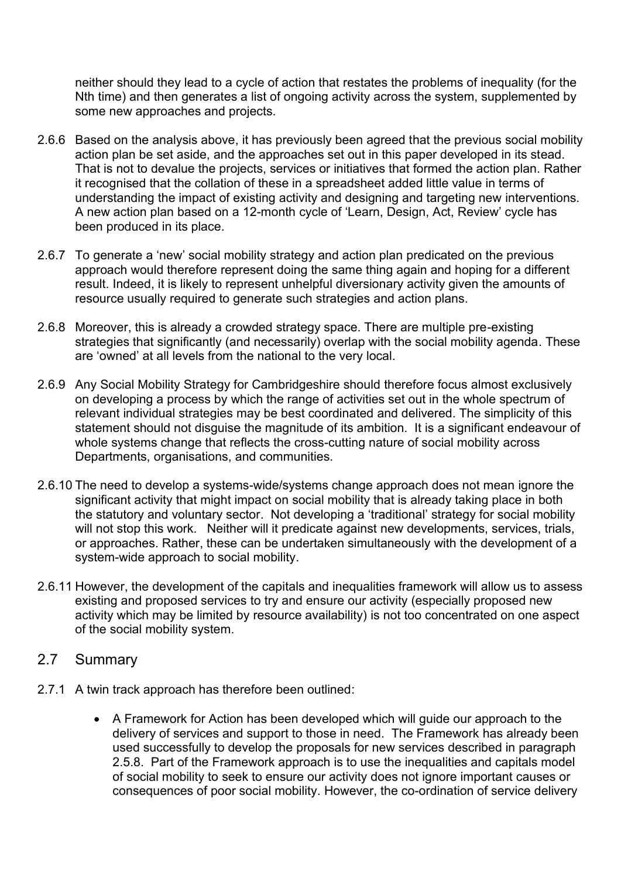neither should they lead to a cycle of action that restates the problems of inequality (for the Nth time) and then generates a list of ongoing activity across the system, supplemented by some new approaches and projects.

- 2.6.6 Based on the analysis above, it has previously been agreed that the previous social mobility action plan be set aside, and the approaches set out in this paper developed in its stead. That is not to devalue the projects, services or initiatives that formed the action plan. Rather it recognised that the collation of these in a spreadsheet added little value in terms of understanding the impact of existing activity and designing and targeting new interventions. A new action plan based on a 12-month cycle of 'Learn, Design, Act, Review' cycle has been produced in its place.
- 2.6.7 To generate a 'new' social mobility strategy and action plan predicated on the previous approach would therefore represent doing the same thing again and hoping for a different result. Indeed, it is likely to represent unhelpful diversionary activity given the amounts of resource usually required to generate such strategies and action plans.
- 2.6.8 Moreover, this is already a crowded strategy space. There are multiple pre-existing strategies that significantly (and necessarily) overlap with the social mobility agenda. These are 'owned' at all levels from the national to the very local.
- 2.6.9 Any Social Mobility Strategy for Cambridgeshire should therefore focus almost exclusively on developing a process by which the range of activities set out in the whole spectrum of relevant individual strategies may be best coordinated and delivered. The simplicity of this statement should not disquise the magnitude of its ambition. It is a significant endeavour of whole systems change that reflects the cross-cutting nature of social mobility across Departments, organisations, and communities.
- 2.6.10 The need to develop a systems-wide/systems change approach does not mean ignore the significant activity that might impact on social mobility that is already taking place in both the statutory and voluntary sector. Not developing a 'traditional' strategy for social mobility will not stop this work. Neither will it predicate against new developments, services, trials, or approaches. Rather, these can be undertaken simultaneously with the development of a system-wide approach to social mobility.
- 2.6.11 However, the development of the capitals and inequalities framework will allow us to assess existing and proposed services to try and ensure our activity (especially proposed new activity which may be limited by resource availability) is not too concentrated on one aspect of the social mobility system.

#### 2.7 Summary

- 2.7.1 A twin track approach has therefore been outlined:
	- A Framework for Action has been developed which will guide our approach to the delivery of services and support to those in need. The Framework has already been used successfully to develop the proposals for new services described in paragraph 2.5.8. Part of the Framework approach is to use the inequalities and capitals model of social mobility to seek to ensure our activity does not ignore important causes or consequences of poor social mobility. However, the co-ordination of service delivery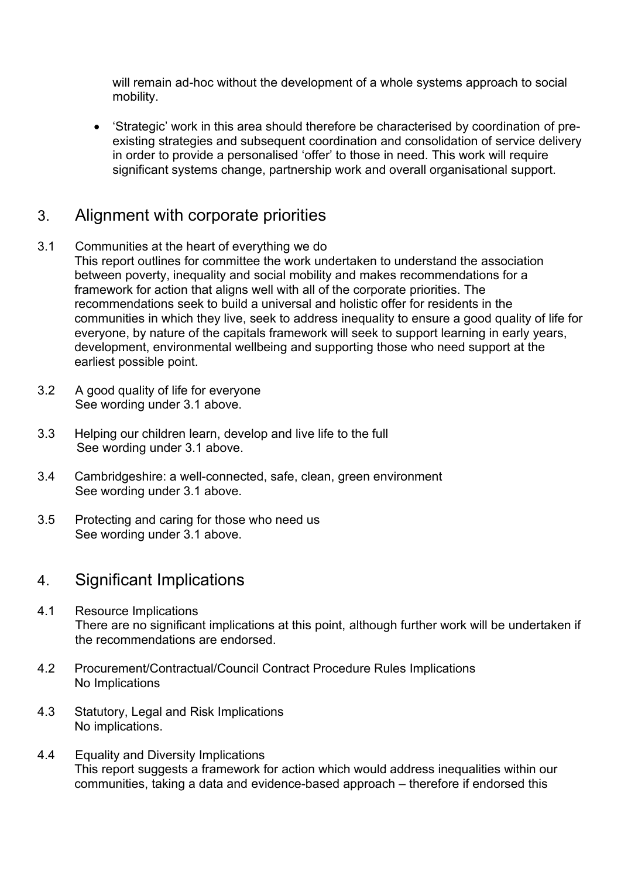will remain ad-hoc without the development of a whole systems approach to social mobility.

• 'Strategic' work in this area should therefore be characterised by coordination of preexisting strategies and subsequent coordination and consolidation of service delivery in order to provide a personalised 'offer' to those in need. This work will require significant systems change, partnership work and overall organisational support.

# 3. Alignment with corporate priorities

- 3.1 Communities at the heart of everything we do This report outlines for committee the work undertaken to understand the association between poverty, inequality and social mobility and makes recommendations for a framework for action that aligns well with all of the corporate priorities. The recommendations seek to build a universal and holistic offer for residents in the communities in which they live, seek to address inequality to ensure a good quality of life for everyone, by nature of the capitals framework will seek to support learning in early years, development, environmental wellbeing and supporting those who need support at the earliest possible point.
- 3.2 A good quality of life for everyone See wording under 3.1 above.
- 3.3 Helping our children learn, develop and live life to the full See wording under 3.1 above.
- 3.4 Cambridgeshire: a well-connected, safe, clean, green environment See wording under 3.1 above.
- 3.5 Protecting and caring for those who need us See wording under 3.1 above.

### 4. Significant Implications

- 4.1 Resource Implications There are no significant implications at this point, although further work will be undertaken if the recommendations are endorsed.
- 4.2 Procurement/Contractual/Council Contract Procedure Rules Implications No Implications
- 4.3 Statutory, Legal and Risk Implications No implications.
- 4.4 Equality and Diversity Implications This report suggests a framework for action which would address inequalities within our communities, taking a data and evidence-based approach – therefore if endorsed this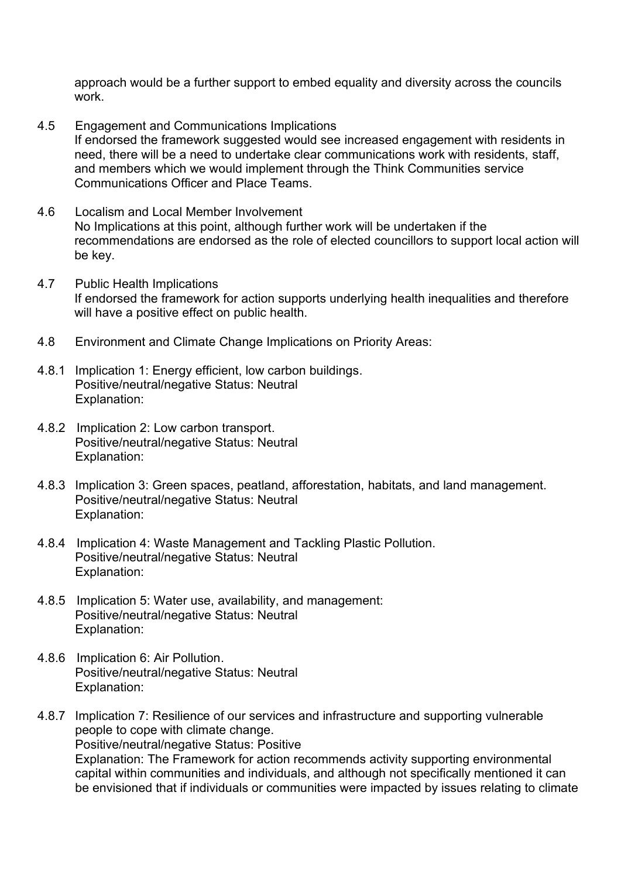approach would be a further support to embed equality and diversity across the councils work.

- 4.5 Engagement and Communications Implications If endorsed the framework suggested would see increased engagement with residents in need, there will be a need to undertake clear communications work with residents, staff, and members which we would implement through the Think Communities service Communications Officer and Place Teams.
- 4.6 Localism and Local Member Involvement No Implications at this point, although further work will be undertaken if the recommendations are endorsed as the role of elected councillors to support local action will be key.
- 4.7 Public Health Implications If endorsed the framework for action supports underlying health inequalities and therefore will have a positive effect on public health.
- 4.8 Environment and Climate Change Implications on Priority Areas:
- 4.8.1 Implication 1: Energy efficient, low carbon buildings. Positive/neutral/negative Status: Neutral Explanation:
- 4.8.2 Implication 2: Low carbon transport. Positive/neutral/negative Status: Neutral Explanation:
- 4.8.3 Implication 3: Green spaces, peatland, afforestation, habitats, and land management. Positive/neutral/negative Status: Neutral Explanation:
- 4.8.4 Implication 4: Waste Management and Tackling Plastic Pollution. Positive/neutral/negative Status: Neutral Explanation:
- 4.8.5 Implication 5: Water use, availability, and management: Positive/neutral/negative Status: Neutral Explanation:
- 4.8.6 Implication 6: Air Pollution. Positive/neutral/negative Status: Neutral Explanation:
- 4.8.7 Implication 7: Resilience of our services and infrastructure and supporting vulnerable people to cope with climate change. Positive/neutral/negative Status: Positive Explanation: The Framework for action recommends activity supporting environmental capital within communities and individuals, and although not specifically mentioned it can be envisioned that if individuals or communities were impacted by issues relating to climate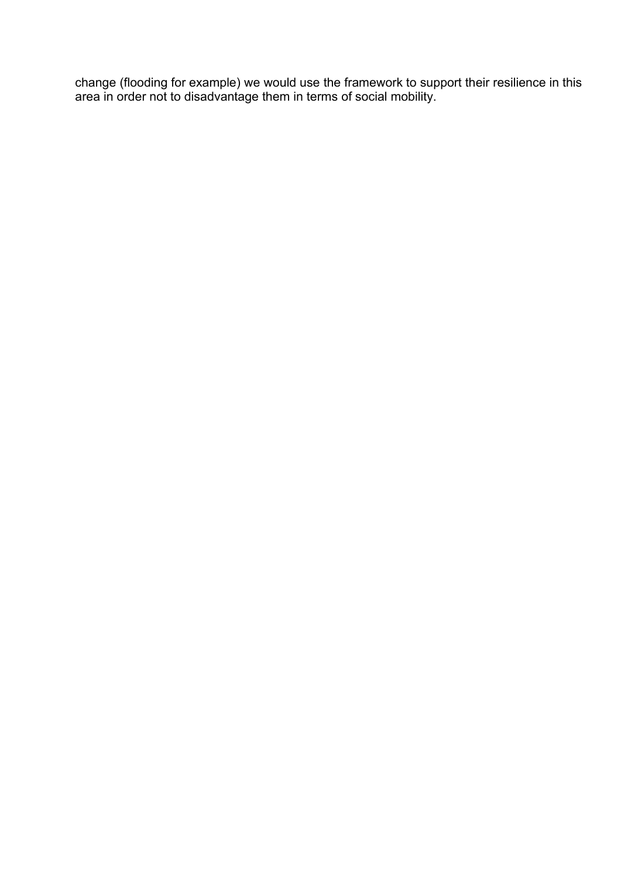change (flooding for example) we would use the framework to support their resilience in this area in order not to disadvantage them in terms of social mobility.